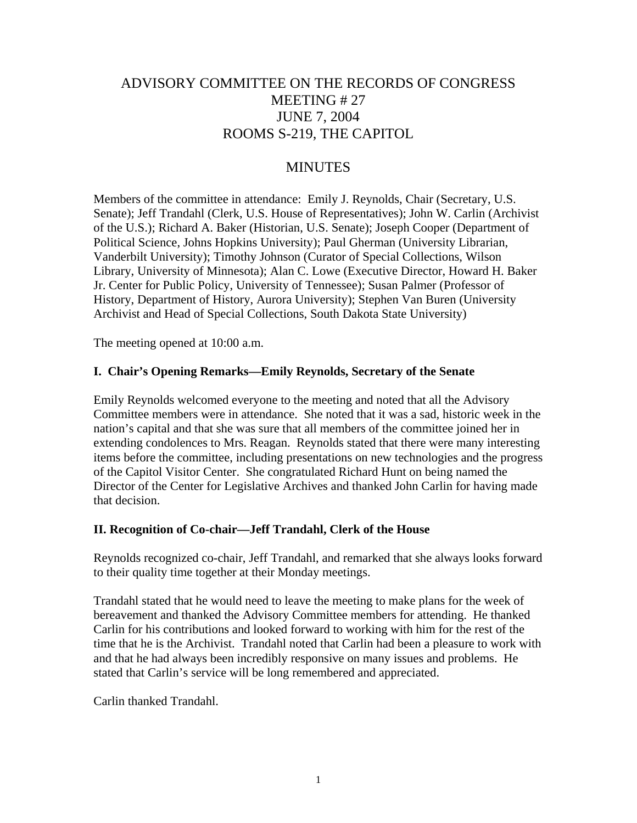# ADVISORY COMMITTEE ON THE RECORDS OF CONGRESS MEETING # 27 JUNE 7, 2004 ROOMS S-219, THE CAPITOL

# MINUTES

Members of the committee in attendance: Emily J. Reynolds, Chair (Secretary, U.S. Senate); Jeff Trandahl (Clerk, U.S. House of Representatives); John W. Carlin (Archivist of the U.S.); Richard A. Baker (Historian, U.S. Senate); Joseph Cooper (Department of Political Science, Johns Hopkins University); Paul Gherman (University Librarian, Vanderbilt University); Timothy Johnson (Curator of Special Collections, Wilson Library, University of Minnesota); Alan C. Lowe (Executive Director, Howard H. Baker Jr. Center for Public Policy, University of Tennessee); Susan Palmer (Professor of History, Department of History, Aurora University); Stephen Van Buren (University Archivist and Head of Special Collections, South Dakota State University)

The meeting opened at 10:00 a.m.

#### **I. Chair's Opening Remarks—Emily Reynolds, Secretary of the Senate**

Emily Reynolds welcomed everyone to the meeting and noted that all the Advisory Committee members were in attendance. She noted that it was a sad, historic week in the nation's capital and that she was sure that all members of the committee joined her in extending condolences to Mrs. Reagan. Reynolds stated that there were many interesting items before the committee, including presentations on new technologies and the progress of the Capitol Visitor Center. She congratulated Richard Hunt on being named the Director of the Center for Legislative Archives and thanked John Carlin for having made that decision.

#### **II. Recognition of Co-chair—Jeff Trandahl, Clerk of the House**

Reynolds recognized co-chair, Jeff Trandahl, and remarked that she always looks forward to their quality time together at their Monday meetings.

Trandahl stated that he would need to leave the meeting to make plans for the week of bereavement and thanked the Advisory Committee members for attending. He thanked Carlin for his contributions and looked forward to working with him for the rest of the time that he is the Archivist. Trandahl noted that Carlin had been a pleasure to work with and that he had always been incredibly responsive on many issues and problems. He stated that Carlin's service will be long remembered and appreciated.

Carlin thanked Trandahl.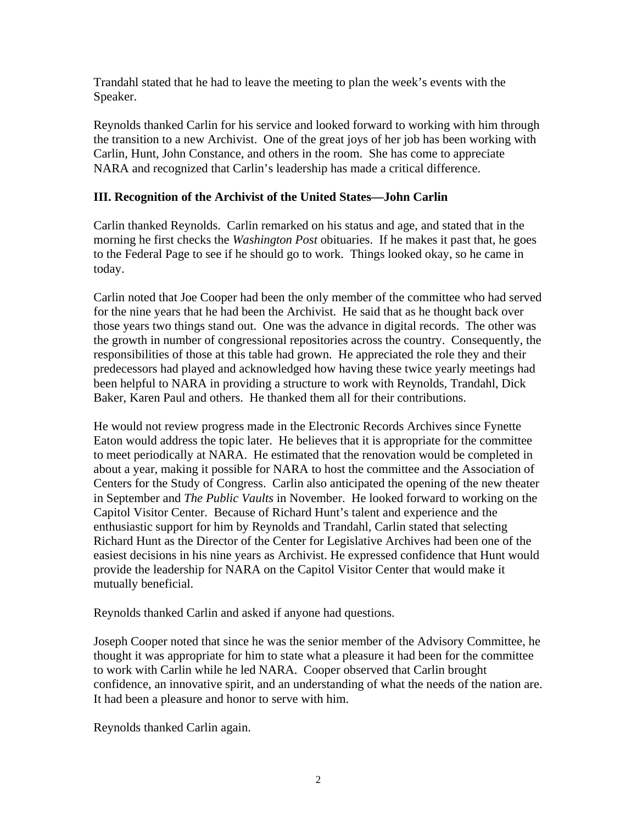Trandahl stated that he had to leave the meeting to plan the week's events with the Speaker.

Reynolds thanked Carlin for his service and looked forward to working with him through the transition to a new Archivist. One of the great joys of her job has been working with Carlin, Hunt, John Constance, and others in the room. She has come to appreciate NARA and recognized that Carlin's leadership has made a critical difference.

# **III. Recognition of the Archivist of the United States—John Carlin**

Carlin thanked Reynolds. Carlin remarked on his status and age, and stated that in the morning he first checks the *Washington Post* obituaries. If he makes it past that, he goes to the Federal Page to see if he should go to work. Things looked okay, so he came in today.

Carlin noted that Joe Cooper had been the only member of the committee who had served for the nine years that he had been the Archivist. He said that as he thought back over those years two things stand out. One was the advance in digital records. The other was the growth in number of congressional repositories across the country. Consequently, the responsibilities of those at this table had grown. He appreciated the role they and their predecessors had played and acknowledged how having these twice yearly meetings had been helpful to NARA in providing a structure to work with Reynolds, Trandahl, Dick Baker, Karen Paul and others. He thanked them all for their contributions.

He would not review progress made in the Electronic Records Archives since Fynette Eaton would address the topic later. He believes that it is appropriate for the committee to meet periodically at NARA. He estimated that the renovation would be completed in about a year, making it possible for NARA to host the committee and the Association of Centers for the Study of Congress. Carlin also anticipated the opening of the new theater in September and *The Public Vaults* in November. He looked forward to working on the Capitol Visitor Center. Because of Richard Hunt's talent and experience and the enthusiastic support for him by Reynolds and Trandahl, Carlin stated that selecting Richard Hunt as the Director of the Center for Legislative Archives had been one of the easiest decisions in his nine years as Archivist. He expressed confidence that Hunt would provide the leadership for NARA on the Capitol Visitor Center that would make it mutually beneficial.

Reynolds thanked Carlin and asked if anyone had questions.

Joseph Cooper noted that since he was the senior member of the Advisory Committee, he thought it was appropriate for him to state what a pleasure it had been for the committee to work with Carlin while he led NARA. Cooper observed that Carlin brought confidence, an innovative spirit, and an understanding of what the needs of the nation are. It had been a pleasure and honor to serve with him.

Reynolds thanked Carlin again.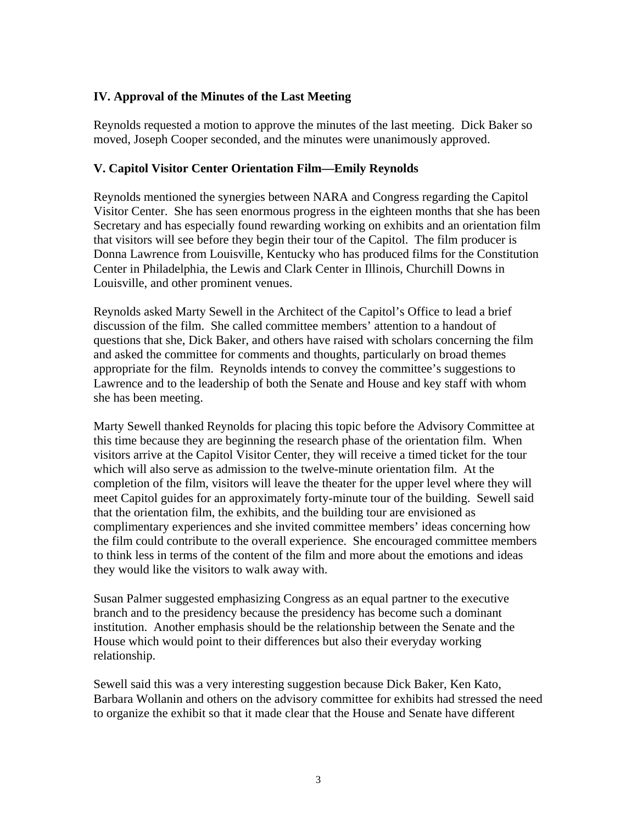# **IV. Approval of the Minutes of the Last Meeting**

Reynolds requested a motion to approve the minutes of the last meeting. Dick Baker so moved, Joseph Cooper seconded, and the minutes were unanimously approved.

#### **V. Capitol Visitor Center Orientation Film—Emily Reynolds**

Reynolds mentioned the synergies between NARA and Congress regarding the Capitol Visitor Center. She has seen enormous progress in the eighteen months that she has been Secretary and has especially found rewarding working on exhibits and an orientation film that visitors will see before they begin their tour of the Capitol. The film producer is Donna Lawrence from Louisville, Kentucky who has produced films for the Constitution Center in Philadelphia, the Lewis and Clark Center in Illinois, Churchill Downs in Louisville, and other prominent venues.

Reynolds asked Marty Sewell in the Architect of the Capitol's Office to lead a brief discussion of the film. She called committee members' attention to a handout of questions that she, Dick Baker, and others have raised with scholars concerning the film and asked the committee for comments and thoughts, particularly on broad themes appropriate for the film. Reynolds intends to convey the committee's suggestions to Lawrence and to the leadership of both the Senate and House and key staff with whom she has been meeting.

Marty Sewell thanked Reynolds for placing this topic before the Advisory Committee at this time because they are beginning the research phase of the orientation film. When visitors arrive at the Capitol Visitor Center, they will receive a timed ticket for the tour which will also serve as admission to the twelve-minute orientation film. At the completion of the film, visitors will leave the theater for the upper level where they will meet Capitol guides for an approximately forty-minute tour of the building. Sewell said that the orientation film, the exhibits, and the building tour are envisioned as complimentary experiences and she invited committee members' ideas concerning how the film could contribute to the overall experience. She encouraged committee members to think less in terms of the content of the film and more about the emotions and ideas they would like the visitors to walk away with.

Susan Palmer suggested emphasizing Congress as an equal partner to the executive branch and to the presidency because the presidency has become such a dominant institution. Another emphasis should be the relationship between the Senate and the House which would point to their differences but also their everyday working relationship.

Sewell said this was a very interesting suggestion because Dick Baker, Ken Kato, Barbara Wollanin and others on the advisory committee for exhibits had stressed the need to organize the exhibit so that it made clear that the House and Senate have different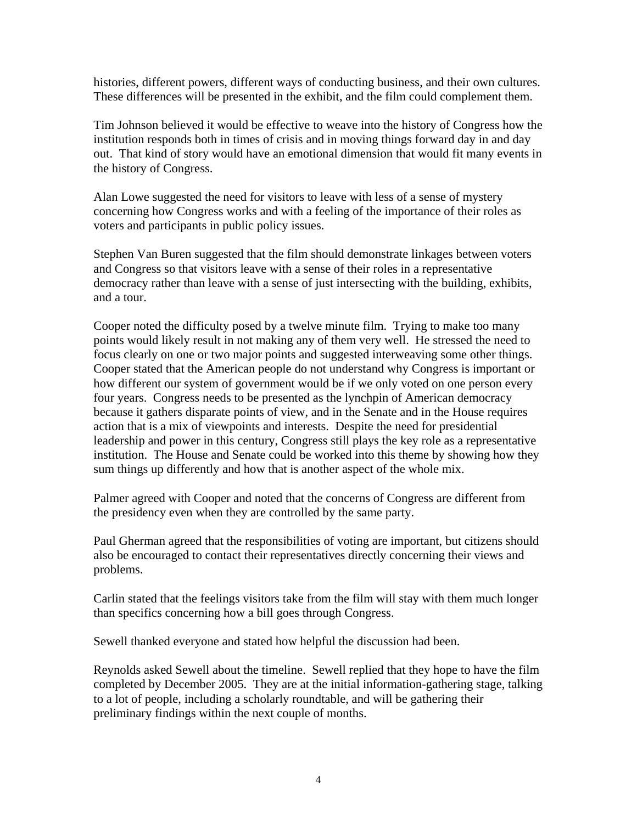histories, different powers, different ways of conducting business, and their own cultures. These differences will be presented in the exhibit, and the film could complement them.

Tim Johnson believed it would be effective to weave into the history of Congress how the institution responds both in times of crisis and in moving things forward day in and day out. That kind of story would have an emotional dimension that would fit many events in the history of Congress.

Alan Lowe suggested the need for visitors to leave with less of a sense of mystery concerning how Congress works and with a feeling of the importance of their roles as voters and participants in public policy issues.

Stephen Van Buren suggested that the film should demonstrate linkages between voters and Congress so that visitors leave with a sense of their roles in a representative democracy rather than leave with a sense of just intersecting with the building, exhibits, and a tour.

Cooper noted the difficulty posed by a twelve minute film. Trying to make too many points would likely result in not making any of them very well. He stressed the need to focus clearly on one or two major points and suggested interweaving some other things. Cooper stated that the American people do not understand why Congress is important or how different our system of government would be if we only voted on one person every four years. Congress needs to be presented as the lynchpin of American democracy because it gathers disparate points of view, and in the Senate and in the House requires action that is a mix of viewpoints and interests. Despite the need for presidential leadership and power in this century, Congress still plays the key role as a representative institution. The House and Senate could be worked into this theme by showing how they sum things up differently and how that is another aspect of the whole mix.

Palmer agreed with Cooper and noted that the concerns of Congress are different from the presidency even when they are controlled by the same party.

Paul Gherman agreed that the responsibilities of voting are important, but citizens should also be encouraged to contact their representatives directly concerning their views and problems.

Carlin stated that the feelings visitors take from the film will stay with them much longer than specifics concerning how a bill goes through Congress.

Sewell thanked everyone and stated how helpful the discussion had been.

Reynolds asked Sewell about the timeline. Sewell replied that they hope to have the film completed by December 2005. They are at the initial information-gathering stage, talking to a lot of people, including a scholarly roundtable, and will be gathering their preliminary findings within the next couple of months.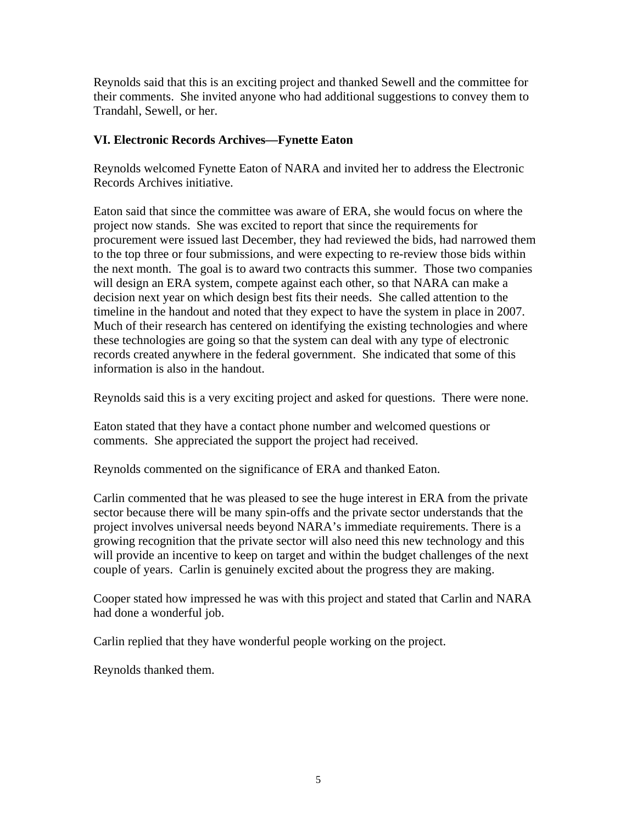Reynolds said that this is an exciting project and thanked Sewell and the committee for their comments. She invited anyone who had additional suggestions to convey them to Trandahl, Sewell, or her.

## **VI. Electronic Records Archives—Fynette Eaton**

Reynolds welcomed Fynette Eaton of NARA and invited her to address the Electronic Records Archives initiative.

Eaton said that since the committee was aware of ERA, she would focus on where the project now stands. She was excited to report that since the requirements for procurement were issued last December, they had reviewed the bids, had narrowed them to the top three or four submissions, and were expecting to re-review those bids within the next month. The goal is to award two contracts this summer. Those two companies will design an ERA system, compete against each other, so that NARA can make a decision next year on which design best fits their needs. She called attention to the timeline in the handout and noted that they expect to have the system in place in 2007. Much of their research has centered on identifying the existing technologies and where these technologies are going so that the system can deal with any type of electronic records created anywhere in the federal government. She indicated that some of this information is also in the handout.

Reynolds said this is a very exciting project and asked for questions. There were none.

Eaton stated that they have a contact phone number and welcomed questions or comments. She appreciated the support the project had received.

Reynolds commented on the significance of ERA and thanked Eaton.

Carlin commented that he was pleased to see the huge interest in ERA from the private sector because there will be many spin-offs and the private sector understands that the project involves universal needs beyond NARA's immediate requirements. There is a growing recognition that the private sector will also need this new technology and this will provide an incentive to keep on target and within the budget challenges of the next couple of years. Carlin is genuinely excited about the progress they are making.

Cooper stated how impressed he was with this project and stated that Carlin and NARA had done a wonderful job.

Carlin replied that they have wonderful people working on the project.

Reynolds thanked them.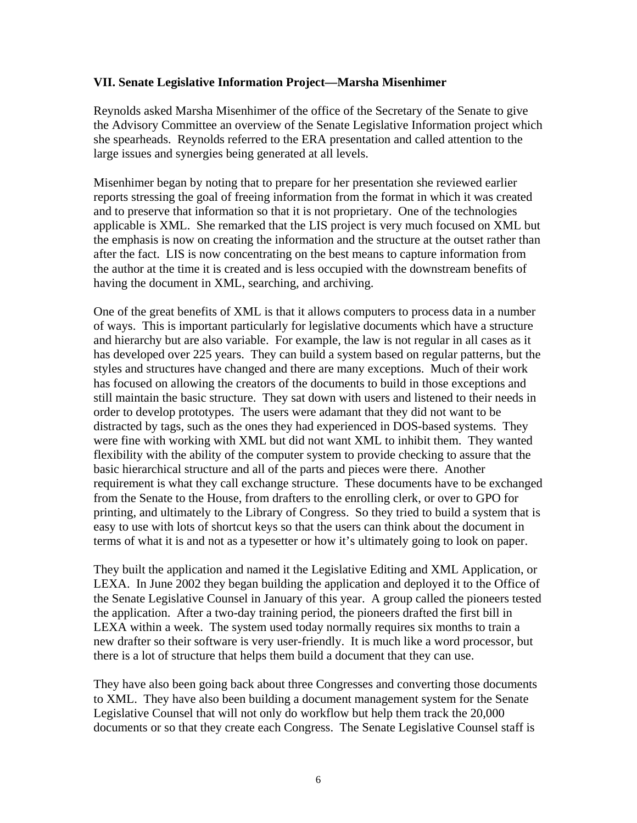#### **VII. Senate Legislative Information Project—Marsha Misenhimer**

Reynolds asked Marsha Misenhimer of the office of the Secretary of the Senate to give the Advisory Committee an overview of the Senate Legislative Information project which she spearheads. Reynolds referred to the ERA presentation and called attention to the large issues and synergies being generated at all levels.

Misenhimer began by noting that to prepare for her presentation she reviewed earlier reports stressing the goal of freeing information from the format in which it was created and to preserve that information so that it is not proprietary. One of the technologies applicable is XML. She remarked that the LIS project is very much focused on XML but the emphasis is now on creating the information and the structure at the outset rather than after the fact. LIS is now concentrating on the best means to capture information from the author at the time it is created and is less occupied with the downstream benefits of having the document in XML, searching, and archiving.

One of the great benefits of XML is that it allows computers to process data in a number of ways. This is important particularly for legislative documents which have a structure and hierarchy but are also variable. For example, the law is not regular in all cases as it has developed over 225 years. They can build a system based on regular patterns, but the styles and structures have changed and there are many exceptions. Much of their work has focused on allowing the creators of the documents to build in those exceptions and still maintain the basic structure. They sat down with users and listened to their needs in order to develop prototypes. The users were adamant that they did not want to be distracted by tags, such as the ones they had experienced in DOS-based systems. They were fine with working with XML but did not want XML to inhibit them. They wanted flexibility with the ability of the computer system to provide checking to assure that the basic hierarchical structure and all of the parts and pieces were there. Another requirement is what they call exchange structure. These documents have to be exchanged from the Senate to the House, from drafters to the enrolling clerk, or over to GPO for printing, and ultimately to the Library of Congress. So they tried to build a system that is easy to use with lots of shortcut keys so that the users can think about the document in terms of what it is and not as a typesetter or how it's ultimately going to look on paper.

They built the application and named it the Legislative Editing and XML Application, or LEXA. In June 2002 they began building the application and deployed it to the Office of the Senate Legislative Counsel in January of this year. A group called the pioneers tested the application. After a two-day training period, the pioneers drafted the first bill in LEXA within a week. The system used today normally requires six months to train a new drafter so their software is very user-friendly. It is much like a word processor, but there is a lot of structure that helps them build a document that they can use.

They have also been going back about three Congresses and converting those documents to XML. They have also been building a document management system for the Senate Legislative Counsel that will not only do workflow but help them track the 20,000 documents or so that they create each Congress. The Senate Legislative Counsel staff is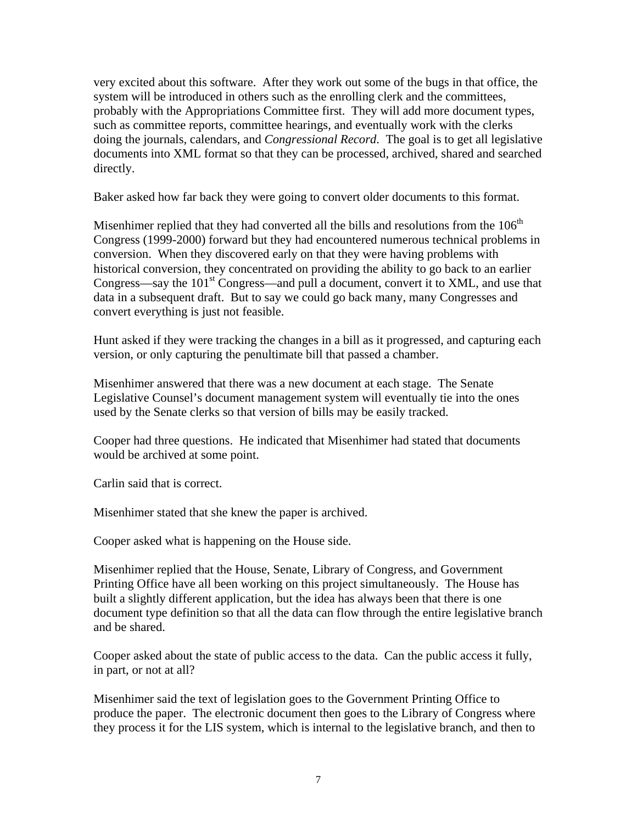very excited about this software. After they work out some of the bugs in that office, the system will be introduced in others such as the enrolling clerk and the committees, probably with the Appropriations Committee first. They will add more document types, such as committee reports, committee hearings, and eventually work with the clerks doing the journals, calendars, and *Congressional Record*. The goal is to get all legislative documents into XML format so that they can be processed, archived, shared and searched directly.

Baker asked how far back they were going to convert older documents to this format.

Misenhimer replied that they had converted all the bills and resolutions from the  $106<sup>th</sup>$ Congress (1999-2000) forward but they had encountered numerous technical problems in conversion. When they discovered early on that they were having problems with historical conversion, they concentrated on providing the ability to go back to an earlier Congress—say the  $101<sup>st</sup> Congress$ —and pull a document, convert it to XML, and use that data in a subsequent draft. But to say we could go back many, many Congresses and convert everything is just not feasible.

Hunt asked if they were tracking the changes in a bill as it progressed, and capturing each version, or only capturing the penultimate bill that passed a chamber.

Misenhimer answered that there was a new document at each stage. The Senate Legislative Counsel's document management system will eventually tie into the ones used by the Senate clerks so that version of bills may be easily tracked.

Cooper had three questions. He indicated that Misenhimer had stated that documents would be archived at some point.

Carlin said that is correct.

Misenhimer stated that she knew the paper is archived.

Cooper asked what is happening on the House side.

Misenhimer replied that the House, Senate, Library of Congress, and Government Printing Office have all been working on this project simultaneously. The House has built a slightly different application, but the idea has always been that there is one document type definition so that all the data can flow through the entire legislative branch and be shared.

Cooper asked about the state of public access to the data. Can the public access it fully, in part, or not at all?

Misenhimer said the text of legislation goes to the Government Printing Office to produce the paper. The electronic document then goes to the Library of Congress where they process it for the LIS system, which is internal to the legislative branch, and then to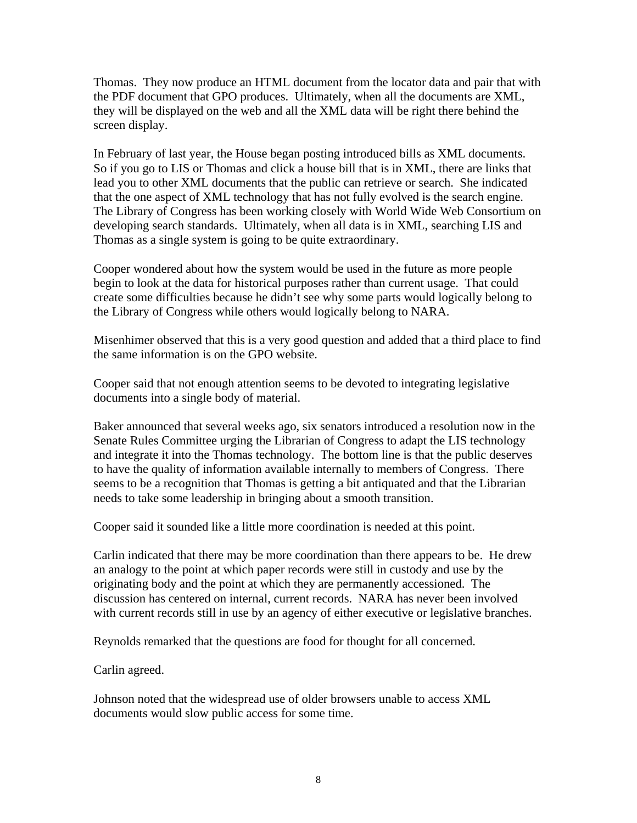Thomas. They now produce an HTML document from the locator data and pair that with the PDF document that GPO produces. Ultimately, when all the documents are XML, they will be displayed on the web and all the XML data will be right there behind the screen display.

In February of last year, the House began posting introduced bills as XML documents. So if you go to LIS or Thomas and click a house bill that is in XML, there are links that lead you to other XML documents that the public can retrieve or search. She indicated that the one aspect of XML technology that has not fully evolved is the search engine. The Library of Congress has been working closely with World Wide Web Consortium on developing search standards. Ultimately, when all data is in XML, searching LIS and Thomas as a single system is going to be quite extraordinary.

Cooper wondered about how the system would be used in the future as more people begin to look at the data for historical purposes rather than current usage. That could create some difficulties because he didn't see why some parts would logically belong to the Library of Congress while others would logically belong to NARA.

Misenhimer observed that this is a very good question and added that a third place to find the same information is on the GPO website.

Cooper said that not enough attention seems to be devoted to integrating legislative documents into a single body of material.

Baker announced that several weeks ago, six senators introduced a resolution now in the Senate Rules Committee urging the Librarian of Congress to adapt the LIS technology and integrate it into the Thomas technology. The bottom line is that the public deserves to have the quality of information available internally to members of Congress. There seems to be a recognition that Thomas is getting a bit antiquated and that the Librarian needs to take some leadership in bringing about a smooth transition.

Cooper said it sounded like a little more coordination is needed at this point.

Carlin indicated that there may be more coordination than there appears to be. He drew an analogy to the point at which paper records were still in custody and use by the originating body and the point at which they are permanently accessioned. The discussion has centered on internal, current records. NARA has never been involved with current records still in use by an agency of either executive or legislative branches.

Reynolds remarked that the questions are food for thought for all concerned.

Carlin agreed.

Johnson noted that the widespread use of older browsers unable to access XML documents would slow public access for some time.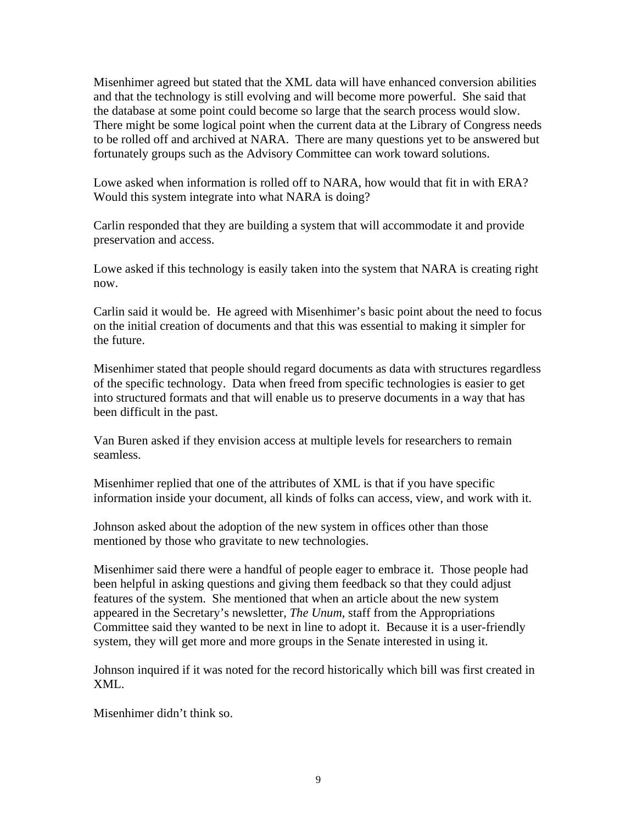Misenhimer agreed but stated that the XML data will have enhanced conversion abilities and that the technology is still evolving and will become more powerful. She said that the database at some point could become so large that the search process would slow. There might be some logical point when the current data at the Library of Congress needs to be rolled off and archived at NARA. There are many questions yet to be answered but fortunately groups such as the Advisory Committee can work toward solutions.

Lowe asked when information is rolled off to NARA, how would that fit in with ERA? Would this system integrate into what NARA is doing?

Carlin responded that they are building a system that will accommodate it and provide preservation and access.

Lowe asked if this technology is easily taken into the system that NARA is creating right now.

Carlin said it would be. He agreed with Misenhimer's basic point about the need to focus on the initial creation of documents and that this was essential to making it simpler for the future.

Misenhimer stated that people should regard documents as data with structures regardless of the specific technology. Data when freed from specific technologies is easier to get into structured formats and that will enable us to preserve documents in a way that has been difficult in the past.

Van Buren asked if they envision access at multiple levels for researchers to remain seamless.

Misenhimer replied that one of the attributes of XML is that if you have specific information inside your document, all kinds of folks can access, view, and work with it.

Johnson asked about the adoption of the new system in offices other than those mentioned by those who gravitate to new technologies.

Misenhimer said there were a handful of people eager to embrace it. Those people had been helpful in asking questions and giving them feedback so that they could adjust features of the system. She mentioned that when an article about the new system appeared in the Secretary's newsletter, *The Unum*, staff from the Appropriations Committee said they wanted to be next in line to adopt it. Because it is a user-friendly system, they will get more and more groups in the Senate interested in using it.

Johnson inquired if it was noted for the record historically which bill was first created in XML.

Misenhimer didn't think so.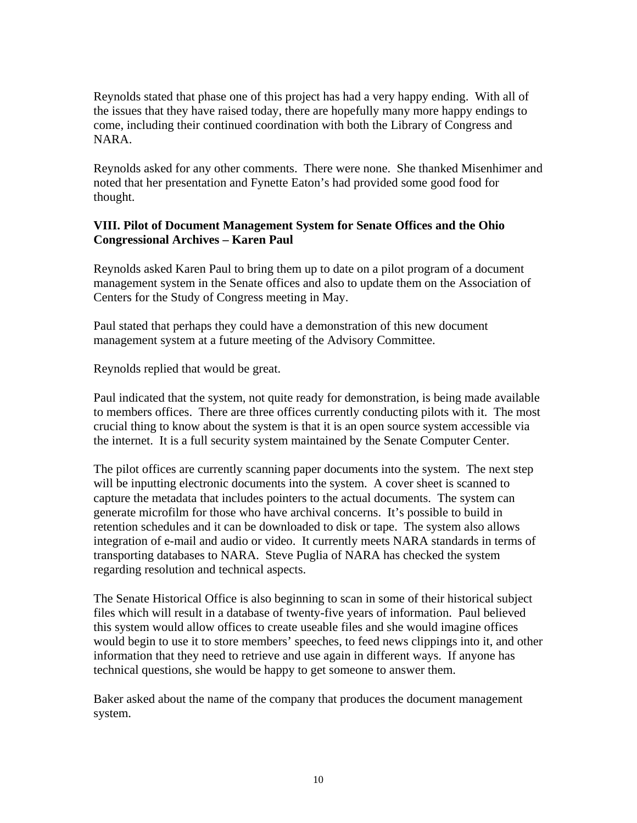Reynolds stated that phase one of this project has had a very happy ending. With all of the issues that they have raised today, there are hopefully many more happy endings to come, including their continued coordination with both the Library of Congress and NARA.

Reynolds asked for any other comments. There were none. She thanked Misenhimer and noted that her presentation and Fynette Eaton's had provided some good food for thought.

## **VIII. Pilot of Document Management System for Senate Offices and the Ohio Congressional Archives – Karen Paul**

Reynolds asked Karen Paul to bring them up to date on a pilot program of a document management system in the Senate offices and also to update them on the Association of Centers for the Study of Congress meeting in May.

Paul stated that perhaps they could have a demonstration of this new document management system at a future meeting of the Advisory Committee.

Reynolds replied that would be great.

Paul indicated that the system, not quite ready for demonstration, is being made available to members offices. There are three offices currently conducting pilots with it. The most crucial thing to know about the system is that it is an open source system accessible via the internet. It is a full security system maintained by the Senate Computer Center.

The pilot offices are currently scanning paper documents into the system. The next step will be inputting electronic documents into the system. A cover sheet is scanned to capture the metadata that includes pointers to the actual documents. The system can generate microfilm for those who have archival concerns. It's possible to build in retention schedules and it can be downloaded to disk or tape. The system also allows integration of e-mail and audio or video. It currently meets NARA standards in terms of transporting databases to NARA. Steve Puglia of NARA has checked the system regarding resolution and technical aspects.

The Senate Historical Office is also beginning to scan in some of their historical subject files which will result in a database of twenty-five years of information. Paul believed this system would allow offices to create useable files and she would imagine offices would begin to use it to store members' speeches, to feed news clippings into it, and other information that they need to retrieve and use again in different ways. If anyone has technical questions, she would be happy to get someone to answer them.

Baker asked about the name of the company that produces the document management system.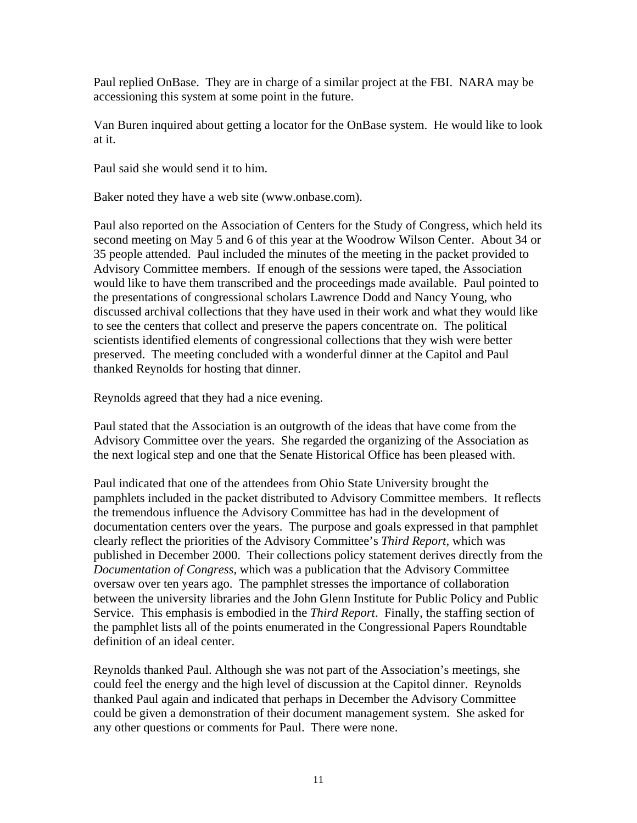Paul replied OnBase. They are in charge of a similar project at the FBI. NARA may be accessioning this system at some point in the future.

Van Buren inquired about getting a locator for the OnBase system. He would like to look at it.

Paul said she would send it to him.

Baker noted they have a web site (www.onbase.com).

Paul also reported on the Association of Centers for the Study of Congress, which held its second meeting on May 5 and 6 of this year at the Woodrow Wilson Center. About 34 or 35 people attended. Paul included the minutes of the meeting in the packet provided to Advisory Committee members. If enough of the sessions were taped, the Association would like to have them transcribed and the proceedings made available. Paul pointed to the presentations of congressional scholars Lawrence Dodd and Nancy Young, who discussed archival collections that they have used in their work and what they would like to see the centers that collect and preserve the papers concentrate on. The political scientists identified elements of congressional collections that they wish were better preserved. The meeting concluded with a wonderful dinner at the Capitol and Paul thanked Reynolds for hosting that dinner.

Reynolds agreed that they had a nice evening.

Paul stated that the Association is an outgrowth of the ideas that have come from the Advisory Committee over the years. She regarded the organizing of the Association as the next logical step and one that the Senate Historical Office has been pleased with.

Paul indicated that one of the attendees from Ohio State University brought the pamphlets included in the packet distributed to Advisory Committee members. It reflects the tremendous influence the Advisory Committee has had in the development of documentation centers over the years. The purpose and goals expressed in that pamphlet clearly reflect the priorities of the Advisory Committee's *Third Report*, which was published in December 2000. Their collections policy statement derives directly from the *Documentation of Congress*, which was a publication that the Advisory Committee oversaw over ten years ago. The pamphlet stresses the importance of collaboration between the university libraries and the John Glenn Institute for Public Policy and Public Service. This emphasis is embodied in the *Third Report*. Finally, the staffing section of the pamphlet lists all of the points enumerated in the Congressional Papers Roundtable definition of an ideal center.

Reynolds thanked Paul. Although she was not part of the Association's meetings, she could feel the energy and the high level of discussion at the Capitol dinner. Reynolds thanked Paul again and indicated that perhaps in December the Advisory Committee could be given a demonstration of their document management system. She asked for any other questions or comments for Paul. There were none.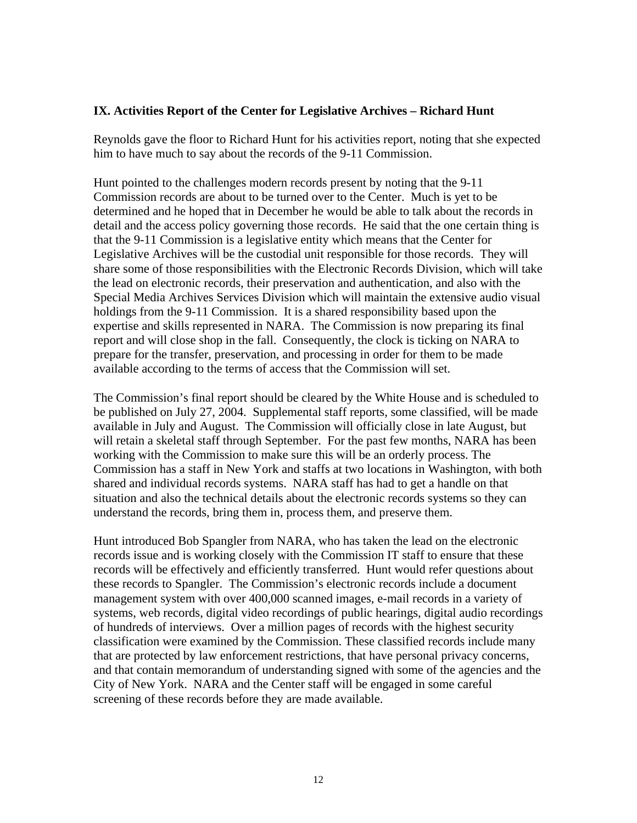#### **IX. Activities Report of the Center for Legislative Archives – Richard Hunt**

Reynolds gave the floor to Richard Hunt for his activities report, noting that she expected him to have much to say about the records of the 9-11 Commission.

Hunt pointed to the challenges modern records present by noting that the 9-11 Commission records are about to be turned over to the Center. Much is yet to be determined and he hoped that in December he would be able to talk about the records in detail and the access policy governing those records. He said that the one certain thing is that the 9-11 Commission is a legislative entity which means that the Center for Legislative Archives will be the custodial unit responsible for those records. They will share some of those responsibilities with the Electronic Records Division, which will take the lead on electronic records, their preservation and authentication, and also with the Special Media Archives Services Division which will maintain the extensive audio visual holdings from the 9-11 Commission. It is a shared responsibility based upon the expertise and skills represented in NARA. The Commission is now preparing its final report and will close shop in the fall. Consequently, the clock is ticking on NARA to prepare for the transfer, preservation, and processing in order for them to be made available according to the terms of access that the Commission will set.

The Commission's final report should be cleared by the White House and is scheduled to be published on July 27, 2004. Supplemental staff reports, some classified, will be made available in July and August. The Commission will officially close in late August, but will retain a skeletal staff through September. For the past few months, NARA has been working with the Commission to make sure this will be an orderly process. The Commission has a staff in New York and staffs at two locations in Washington, with both shared and individual records systems. NARA staff has had to get a handle on that situation and also the technical details about the electronic records systems so they can understand the records, bring them in, process them, and preserve them.

Hunt introduced Bob Spangler from NARA, who has taken the lead on the electronic records issue and is working closely with the Commission IT staff to ensure that these records will be effectively and efficiently transferred. Hunt would refer questions about these records to Spangler. The Commission's electronic records include a document management system with over 400,000 scanned images, e-mail records in a variety of systems, web records, digital video recordings of public hearings, digital audio recordings of hundreds of interviews. Over a million pages of records with the highest security classification were examined by the Commission. These classified records include many that are protected by law enforcement restrictions, that have personal privacy concerns, and that contain memorandum of understanding signed with some of the agencies and the City of New York. NARA and the Center staff will be engaged in some careful screening of these records before they are made available.